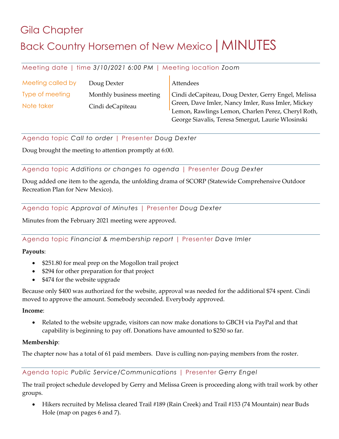# Gila Chapter Back Country Horsemen of New Mexico | MINUTES

## Meeting date | time *3/10/2021 6:00 PM* | Meeting location *Zoom*

| Meeting called by | Doug Dexter              | Attendees                                           |
|-------------------|--------------------------|-----------------------------------------------------|
| Type of meeting   | Monthly business meeting | Cindi deCapiteau, Doug Dexter, Gerry Engel, Melissa |
| Note taker        | Cindi deCapiteau         | Green, Dave Imler, Nancy Imler, Russ Imler, Mickey  |
|                   |                          | Lemon, Rawlings Lemon, Charlen Perez, Cheryl Roth,  |
|                   |                          | George Siavalis, Teresa Smergut, Laurie Wlosinski   |

## Agenda topic *Call to order* | Presenter *Doug Dexter*

Doug brought the meeting to attention promptly at 6:00.

## Agenda topic *Additions or changes to agenda* | Presenter *Doug Dexter*

Doug added one item to the agenda, the unfolding drama of SCORP (Statewide Comprehensive Outdoor Recreation Plan for New Mexico).

### Agenda topic *Approval of Minutes* | Presenter *Doug Dexter*

Minutes from the February 2021 meeting were approved.

## Agenda topic *Financial & membership report* | Presenter *Dave Imler*

#### **Payouts**:

- \$251.80 for meal prep on the Mogollon trail project
- \$294 for other preparation for that project
- \$474 for the website upgrade

Because only \$400 was authorized for the website, approval was needed for the additional \$74 spent. Cindi moved to approve the amount. Somebody seconded. Everybody approved.

#### **Income**:

• Related to the website upgrade, visitors can now make donations to GBCH via PayPal and that capability is beginning to pay off. Donations have amounted to \$250 so far.

#### **Membership**:

The chapter now has a total of 61 paid members. Dave is culling non-paying members from the roster.

## Agenda topic *Public Service/Communications* | Presenter *Gerry Engel*

The trail project schedule developed by Gerry and Melissa Green is proceeding along with trail work by other groups.

• Hikers recruited by Melissa cleared Trail #189 (Rain Creek) and Trail #153 (74 Mountain) near Buds Hole (map on pages 6 and 7).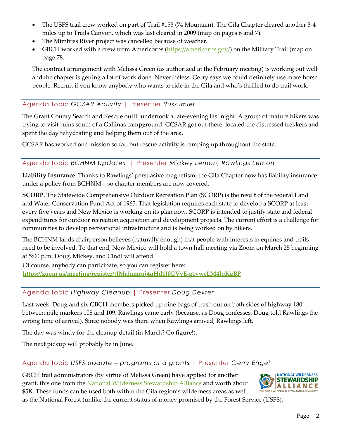- The USFS trail crew worked on part of Trail #153 (74 Mountain). The Gila Chapter cleared another 3-4 miles up to Trails Canyon, which was last cleared in 2009 (map on pages 6 and 7).
- The Mimbres River project was cancelled because of weather.
- GBCH worked with a crew from Americorps (https://americorps.gov/) on the Military Trail (map on page 78.

The contract arrangement with Melissa Green (as authorized at the February meeting) is working out well and the chapter is getting a lot of work done. Nevertheless, Gerry says we could definitely use more horse people. Recruit if you know anybody who wants to ride in the Gila and who's thrilled to do trail work.

## Agenda topic *GCSAR Activity* | Presenter *Russ Imler*

The Grant County Search and Rescue outfit undertook a late-evening last night. A group of mature hikers was trying to visit ruins south of a Gallinas campground. GCSAR got out there, located the distressed trekkers and spent the day rehydrating and helping them out of the area.

GCSAR has worked one mission so far, but rescue activity is ramping up throughout the state.

### Agenda topic *BCHNM Updates* | Presenter *Mickey Lemon, Rawlings Lemon*

**Liability Insurance**. Thanks to Rawlings' persuasive magnetism, the Gila Chapter now has liability insurance under a policy from BCHNM—so chapter members are now covered.

**SCORP**. The Statewide Comprehensive Outdoor Recreation Plan (SCORP) is the result of the federal Land and Water Conservation Fund Act of 1965. That legislation requires each state to develop a SCORP at least every five years and New Mexico is working on its plan now. SCORP is intended to justify state and federal expenditures for outdoor recreation acquisition and development projects. The current effort is a challenge for communities to develop recreational infrastructure and is being worked on by hikers.

The BCHNM lands chairperson believes (naturally enough) that people with interests in equines and trails need to be involved. To that end, New Mexico will hold a town hall meeting via Zoom on March 25 beginning at 5:00 p.m. Doug, Mickey, and Cindi will attend.

Of course, anybody can participate, so you can register here: **https://zoom.us/meeting/register/tJMrfumrqj4qHd1JfGVvE-g1vwcLM4lqKgBP**

## Agenda topic *Highway Cleanup* | Presenter *Doug Dexter*

Last week, Doug and six GBCH members picked up nine bags of trash out on both sides of highway 180 between mile markers 108 and 109. Rawlings came early (because, as Doug confesses, Doug told Rawlings the wrong time of arrival). Since nobody was there when Rawlings arrived, Rawlings left.

The day was windy for the cleanup detail (in March? Go figure!).

The next pickup will probably be in June.

## Agenda topic *USFS update – programs and grants* | Presenter *Gerry Engel*

GBCH trail administrators (by virtue of Melissa Green) have applied for another grant, this one from the National Wilderness Stewardship Alliance and worth about \$5K. These funds can be used both within the Gila region's wilderness areas as well



as the National Forest (unlike the current status of money promised by the Forest Service (USFS).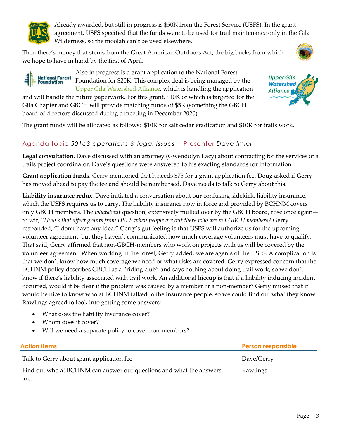

Already awarded, but still in progress is \$50K from the Forest Service (USFS). In the grant agreement, USFS specified that the funds were to be used for trail maintenance only in the Gila Wilderness, so the moolah can't be used elsewhere.

Then there's money that stems from the Great American Outdoors Act, the big bucks from which we hope to have in hand by the first of April.

Also in progress is a grant application to the National Forest





**National Forest** Foundation for \$20K. This complex deal is being managed by the **Foundation** Upper Gila Watershed Alliance, which is handling the application and will handle the future paperwork. For this grant, \$10K of which is targeted for the

Gila Chapter and GBCH will provide matching funds of \$5K (something the GBCH board of directors discussed during a meeting in December 2020).

The grant funds will be allocated as follows: \$10K for salt cedar eradication and \$10K for trails work.

## Agenda topic *501c3 operations & legal Issues* | Presenter *Dave Imler*

**Legal consultation**. Dave discussed with an attorney (Gwendolyn Lacy) about contracting for the services of a trails project coordinator. Dave's questions were answered to his exacting standards for information.

**Grant application funds**. Gerry mentioned that h needs \$75 for a grant application fee. Doug asked if Gerry has moved ahead to pay the fee and should be reimbursed. Dave needs to talk to Gerry about this.

**Liability insurance redux**. Dave initiated a conversation about our confusing sidekick, liability insurance, which the USFS requires us to carry. The liability insurance now in force and provided by BCHNM covers only GBCH members. The *whatabout* question, extensively mulled over by the GBCH board, rose once again to wit, "*How's that affect grants from USFS when people are out there who are not GBCH members?* Gerry responded, "I don't have any idea." Gerry's gut feeling is that USFS will authorize us for the upcoming volunteer agreement, but they haven't communicated how much coverage volunteers must have to qualify. That said, Gerry affirmed that non-GBCH-members who work on projects with us will be covered by the volunteer agreement. When working in the forest, Gerry added, we are agents of the USFS. A complication is that we don't know how much coverage we need or what risks are covered. Gerry expressed concern that the BCHNM policy describes GBCH as a "riding club" and says nothing about doing trail work, so we don't know if there's liability associated with trail work. An additional hiccup is that if a liability inducing incident occurred, would it be clear if the problem was caused by a member or a non-member? Gerry mused that it would be nice to know who at BCHNM talked to the insurance people, so we could find out what they know. Rawlings agreed to look into getting some answers:

- What does the liability insurance cover?
- Whom does it cover?
- Will we need a separate policy to cover non-members?

#### **Action items Person responsible** Talk to Gerry about grant application fee  $D$  Dave/Gerry Find out who at BCHNM can answer our questions and what the answers are. Rawlings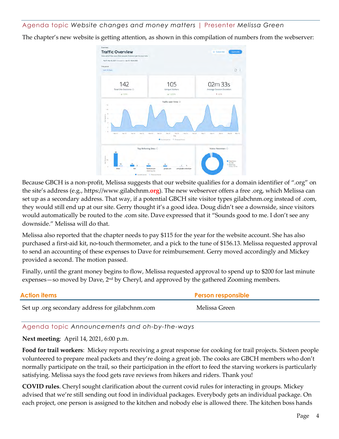## Agenda topic *Website changes and money matters* | Presenter *Melissa Green*

The chapter's new website is getting attention, as shown in this compilation of numbers from the webserver:



Because GBCH is a non-profit, Melissa suggests that our website qualifies for a domain identifier of ".org" on the site's address (e.g., https://www.gilabchnm.**org**). The new webserver offers a free .org, which Melissa can set up as a secondary address. That way, if a potential GBCH site visitor types gilabchnm.org instead of .com, they would still end up at our site. Gerry thought it's a good idea. Doug didn't see a downside, since visitors would automatically be routed to the .com site. Dave expressed that it "Sounds good to me. I don't see any downside." Melissa will do that.

Melissa also reported that the chapter needs to pay \$115 for the year for the website account. She has also purchased a first-aid kit, no-touch thermometer, and a pick to the tune of \$156.13. Melissa requested approval to send an accounting of these expenses to Dave for reimbursement. Gerry moved accordingly and Mickey provided a second. The motion passed.

Finally, until the grant money begins to flow, Melissa requested approval to spend up to \$200 for last minute expenses—so moved by Dave, 2nd by Cheryl, and approved by the gathered Zooming members.

| <b>Action items</b>                             | <b>Person responsible</b> |
|-------------------------------------------------|---------------------------|
| Set up .org secondary address for gilabchnm.com | Melissa Green             |

#### Agenda topic *Announcements and oh-by-the-ways*

**Next meeting**: April 14, 2021, 6:00 p.m.

**Food for trail workers**: Mickey reports receiving a great response for cooking for trail projects. Sixteen people volunteered to prepare meal packets and they're doing a great job. The cooks are GBCH members who don't normally participate on the trail, so their participation in the effort to feed the starving workers is particularly satisfying. Melissa says the food gets rave reviews from hikers and riders. Thank you!

**COVID rules**. Cheryl sought clarification about the current covid rules for interacting in groups. Mickey advised that we're still sending out food in individual packages. Everybody gets an individual package. On each project, one person is assigned to the kitchen and nobody else is allowed there. The kitchen boss hands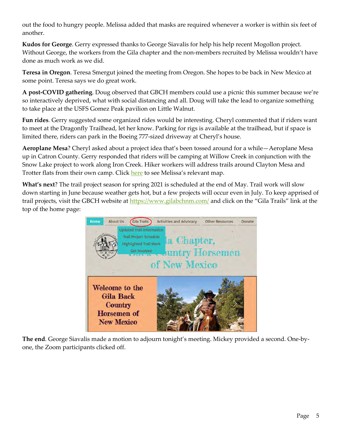out the food to hungry people. Melissa added that masks are required whenever a worker is within six feet of another.

**Kudos for George**. Gerry expressed thanks to George Siavalis for help his help recent Mogollon project. Without George, the workers from the Gila chapter and the non-members recruited by Melissa wouldn't have done as much work as we did.

**Teresa in Oregon**. Teresa Smergut joined the meeting from Oregon. She hopes to be back in New Mexico at some point. Teresa says we do great work.

**A post-COVID gathering**. Doug observed that GBCH members could use a picnic this summer because we're so interactively deprived, what with social distancing and all. Doug will take the lead to organize something to take place at the USFS Gomez Peak pavilion on Little Walnut.

**Fun rides**. Gerry suggested some organized rides would be interesting. Cheryl commented that if riders want to meet at the Dragonfly Trailhead, let her know. Parking for rigs is available at the trailhead, but if space is limited there, riders can park in the Boeing 777-sized driveway at Cheryl's house.

**Aeroplane Mesa**? Cheryl asked about a project idea that's been tossed around for a while—Aeroplane Mesa up in Catron County. Gerry responded that riders will be camping at Willow Creek in conjunction with the Snow Lake project to work along Iron Creek. Hiker workers will address trails around Clayton Mesa and Trotter flats from their own camp. Click here to see Melissa's relevant map.

**What's next**? The trail project season for spring 2021 is scheduled at the end of May. Trail work will slow down starting in June because weather gets hot, but a few projects will occur even in July. To keep apprised of trail projects, visit the GBCH website at https://www.gilabchnm.com/ and click on the "Gila Trails" link at the top of the home page:



**The end**. George Siavalis made a motion to adjourn tonight's meeting. Mickey provided a second. One-byone, the Zoom participants clicked off.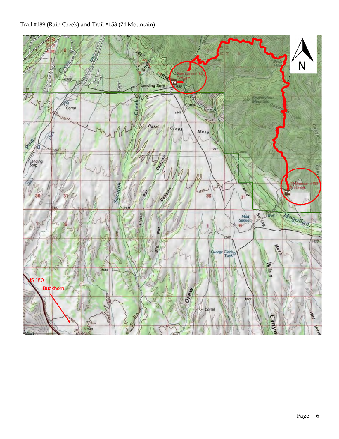## Trail #189 (Rain Creek) and Trail #153 (74 Mountain)

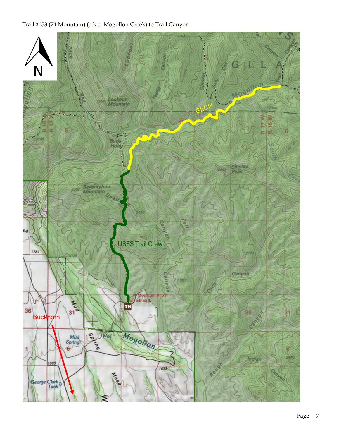## Trail #153 (74 Mountain) (a.k.a. Mogollon Creek) to Trail Canyon